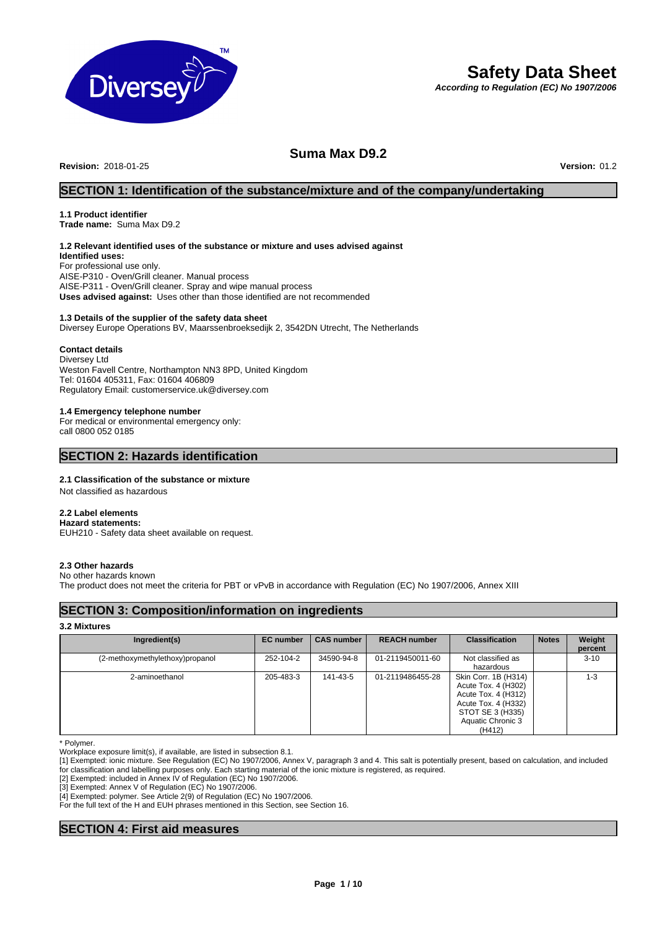

# **Safety Data Sheet**

*According to Regulation (EC) No 1907/2006*

## **Suma Max D9.2**

**Revision:** 2018-01-25 **Version:** 01.2

### **SECTION 1: Identification of the substance/mixture and of the company/undertaking**

## **1.1 Product identifier**

**Trade name:** Suma Max D9.2

### **1.2 Relevant identified uses of the substance or mixture and uses advised against**

**Identified uses:** For professional use only. AISE-P310 - Oven/Grill cleaner. Manual process AISE-P311 - Oven/Grill cleaner. Spray and wipe manual process **Uses advised against:** Uses other than those identified are not recommended

#### **1.3 Details of the supplier of the safety data sheet**

Diversey Europe Operations BV, Maarssenbroeksedijk 2, 3542DN Utrecht, The Netherlands

#### **Contact details**

Diversey Ltd Weston Favell Centre, Northampton NN3 8PD, United Kingdom Tel: 01604 405311, Fax: 01604 406809 Regulatory Email: customerservice.uk@diversey.com

#### **1.4 Emergency telephone number**

For medical or environmental emergency only: call 0800 052 0185

### **SECTION 2: Hazards identification**

#### **2.1 Classification of the substance or mixture**

Not classified as hazardous

#### **2.2 Label elements**

**Hazard statements:**  EUH210 - Safety data sheet available on request.

#### **2.3 Other hazards**

No other hazards known

The product does not meet the criteria for PBT or vPvB in accordance with Regulation (EC) No 1907/2006, Annex XIII

### **SECTION 3: Composition/information on ingredients**

### **3.2 Mixtures**

| Ingredient(s)                   | <b>EC</b> number | <b>CAS number</b> | <b>REACH number</b> | <b>Classification</b>                                                                                                                        | <b>Notes</b> | Weight<br>percent |
|---------------------------------|------------------|-------------------|---------------------|----------------------------------------------------------------------------------------------------------------------------------------------|--------------|-------------------|
| (2-methoxymethylethoxy)propanol | 252-104-2        | 34590-94-8        | 01-2119450011-60    | Not classified as<br>hazardous                                                                                                               |              | $3 - 10$          |
| 2-aminoethanol                  | 205-483-3        | 141-43-5          | 01-2119486455-28    | Skin Corr. 1B (H314)<br>Acute Tox. 4 (H302)<br>Acute Tox. 4 (H312)<br>Acute Tox. 4 (H332)<br>STOT SE 3 (H335)<br>Aquatic Chronic 3<br>(H412) |              | 1-3               |

\* Polymer.

Workplace exposure limit(s), if available, are listed in subsection 8.1.

[1] Exempted: ionic mixture. See Regulation (EC) No 1907/2006, Annex V, paragraph 3 and 4. This salt is potentially present, based on calculation, and included for classification and labelling purposes only. Each starting material of the ionic mixture is registered, as required.

[2] Exempted: included in Annex IV of Regulation (EC) No 1907/2006.

[3] Exempted: Annex V of Regulation (EC) No 1907/2006.

[4] Exempted: polymer. See Article 2(9) of Regulation (EC) No 1907/2006.

For the full text of the H and EUH phrases mentioned in this Section, see Section 16.

### **SECTION 4: First aid measures**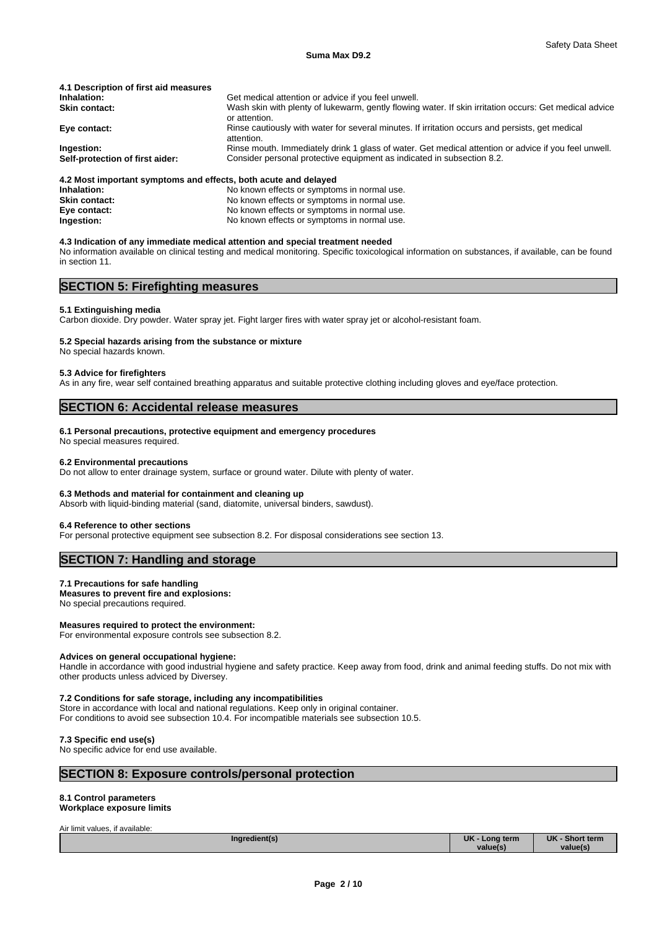| 4.1 Description of first aid measures |                                                                                                                         |
|---------------------------------------|-------------------------------------------------------------------------------------------------------------------------|
| Inhalation:                           | Get medical attention or advice if you feel unwell.                                                                     |
| <b>Skin contact:</b>                  | Wash skin with plenty of lukewarm, gently flowing water. If skin irritation occurs: Get medical advice<br>or attention. |
| Eye contact:                          | Rinse cautiously with water for several minutes. If irritation occurs and persists, get medical<br>attention.           |
| Ingestion:                            | Rinse mouth. Immediately drink 1 glass of water. Get medical attention or advice if you feel unwell.                    |
| Self-protection of first aider:       | Consider personal protective equipment as indicated in subsection 8.2.                                                  |
|                                       |                                                                                                                         |

#### **4.2 Most important symptoms and effects, both acute and delayed**

| No known effects or symptoms in normal use. |
|---------------------------------------------|
| No known effects or symptoms in normal use. |
| No known effects or symptoms in normal use. |
| No known effects or symptoms in normal use. |
|                                             |

#### **4.3 Indication of any immediate medical attention and special treatment needed**

No information available on clinical testing and medical monitoring. Specific toxicological information on substances, if available, can be found in section 11.

### **SECTION 5: Firefighting measures**

#### **5.1 Extinguishing media**

Carbon dioxide. Dry powder. Water spray jet. Fight larger fires with water spray jet or alcohol-resistant foam.

#### **5.2 Special hazards arising from the substance or mixture**

No special hazards known.

#### **5.3 Advice for firefighters**

As in any fire, wear self contained breathing apparatus and suitable protective clothing including gloves and eye/face protection.

### **SECTION 6: Accidental release measures**

#### **6.1 Personal precautions, protective equipment and emergency procedures**

No special measures required.

#### **6.2 Environmental precautions**

Do not allow to enter drainage system, surface or ground water. Dilute with plenty of water.

#### **6.3 Methods and material for containment and cleaning up**

Absorb with liquid-binding material (sand, diatomite, universal binders, sawdust).

#### **6.4 Reference to other sections**

For personal protective equipment see subsection 8.2. For disposal considerations see section 13.

#### **SECTION 7: Handling and storage**

#### **7.1 Precautions for safe handling**

**Measures to prevent fire and explosions:** No special precautions required.

#### **Measures required to protect the environment:**

For environmental exposure controls see subsection 8.2.

#### **Advices on general occupational hygiene:**

Handle in accordance with good industrial hygiene and safety practice. Keep away from food, drink and animal feeding stuffs. Do not mix with other products unless adviced by Diversey.

#### **7.2 Conditions for safe storage, including any incompatibilities**

Store in accordance with local and national regulations. Keep only in original container. For conditions to avoid see subsection 10.4. For incompatible materials see subsection 10.5.

#### **7.3 Specific end use(s)**

No specific advice for end use available.

#### **SECTION 8: Exposure controls/personal protection**

### **8.1 Control parameters**

**Workplace exposure limits**

Air limit values, if available:

| Ingredient(s)<br>. . | <b>UK</b><br>Long term | <b>UK</b><br>- Short term |  |
|----------------------|------------------------|---------------------------|--|
|                      | value(s)               | value(s)                  |  |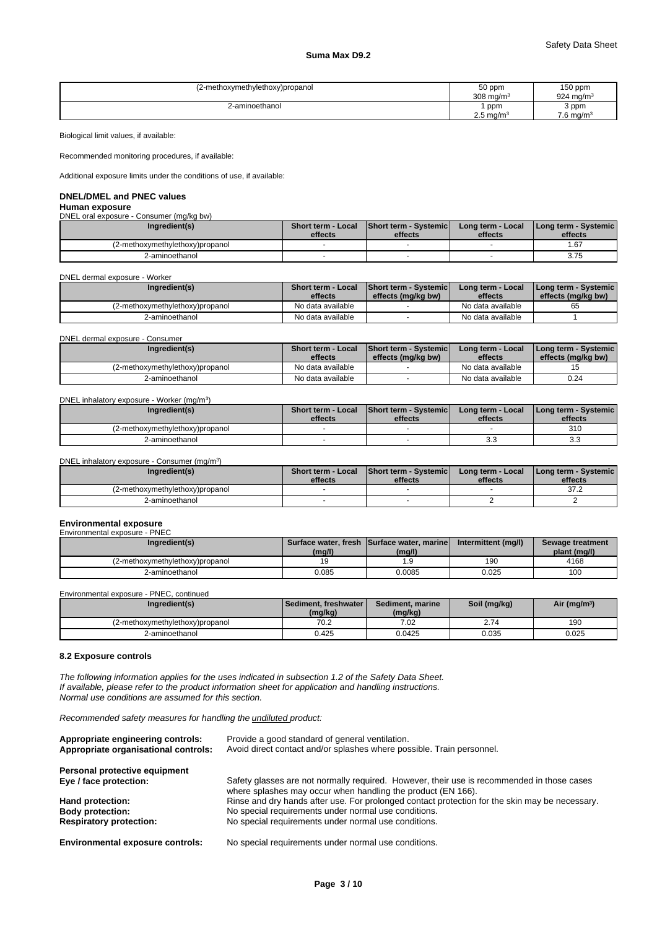#### **Suma Max D9.2**

| (2-methoxymethylethoxy)propanol | 50 ppm<br>$308 \text{ ma/m}^3$        | $150$ ppm<br>$924 \text{ mg/m}$ |
|---------------------------------|---------------------------------------|---------------------------------|
| 2-aminoethanol                  | ppm                                   | 3 ppm                           |
|                                 | $\sim$ $\sim$<br>$2.5 \text{ mg/m}^3$ | $7.6$ ma/m <sup>3</sup>         |

Biological limit values, if available:

Recommended monitoring procedures, if available:

Additional exposure limits under the conditions of use, if available:

### **DNEL/DMEL and PNEC values**

**Human exposure** DNEL oral exposure - Consumer (mg/kg bw)

| Ingredient(s)                  | <b>Short term - Local</b><br>effects | <b>Short term - Systemic</b><br>effects | Long term - Local<br>effects | Long term - Systemic<br>effects |
|--------------------------------|--------------------------------------|-----------------------------------------|------------------------------|---------------------------------|
| z-methoxymethylethoxy)propanol |                                      |                                         |                              | 67،                             |
| 2-aminoethanol                 |                                      |                                         |                              | 375<br>ن ، ، ب                  |

DNEL dermal exposure - Worker

| Ingredient(s)                   | <b>Short term - Local</b> | <b>Short term - Systemicl</b> | Long term - Local | <b>I Long term - Systemic I</b> |
|---------------------------------|---------------------------|-------------------------------|-------------------|---------------------------------|
|                                 | effects                   | effects (mg/kg bw)            | effects           | effects (mg/kg bw)              |
| (2-methoxymethylethoxy)propanol | No data available         |                               | No data available | 65                              |
| 2-aminoethanol                  | No data available         |                               | No data available |                                 |

DNEL dermal exposure - Consumer

| Ingredient(s)                   | <b>Short term - Local</b><br>effects | <b>Short term - Systemicl</b><br>effects (mg/kg bw) | Long term - Local<br>effects | I Long term - Systemic I<br>effects (mg/kg bw) |  |
|---------------------------------|--------------------------------------|-----------------------------------------------------|------------------------------|------------------------------------------------|--|
| (2-methoxymethylethoxy)propanol | No data available                    |                                                     | No data available            |                                                |  |
| 2-aminoethanol                  | No data available                    |                                                     | No data available            | 0.24                                           |  |

DNEL inhalatory exposure - Worker (mg/m<sup>3</sup>) )

| Ingredient(s)                   | <b>Short term - Local</b><br>effects | <b>Short term - Systemic</b><br>effects | Long term - Local<br>effects | <b>I Long term - Systemic I</b><br>effects |
|---------------------------------|--------------------------------------|-----------------------------------------|------------------------------|--------------------------------------------|
| ι∠-methoxymethylethoxy)propanol |                                      |                                         |                              | 31 <sub>C</sub>                            |
| 2-aminoethanol                  |                                      |                                         | ິ.                           | <b>v.v</b>                                 |

DNEL inhalatory exposure - Consumer (mg/m<sup>3</sup>)

| Ingredient(s)                   | Short term - Local<br>effects | <b>Short term - Systemic</b><br>effects | Long term - Local<br>effects | Long term - Systemic  <br>effects |  |
|---------------------------------|-------------------------------|-----------------------------------------|------------------------------|-----------------------------------|--|
| √∠-methoxymethylethoxy)propanol |                               |                                         |                              | 270<br>ے ، ر                      |  |
| 2-aminoethanol                  |                               |                                         |                              |                                   |  |

#### **Environmental exposure**<br>Environmental exposure - PNEC encorrective<br>Inmental expo

| Ingredient(s)                   | (mg/l) | Surface water, fresh Surface water, marine<br>(mg/l) | Intermittent (mg/l) | Sewage treatment<br>plant (mg/l) |
|---------------------------------|--------|------------------------------------------------------|---------------------|----------------------------------|
| (2-methoxymethylethoxy)propanol |        | ه.                                                   | 190                 | 4168                             |
| 2-aminoethanol                  | 0.085  | 0.0085                                               | 0.025               | 100                              |

Environmental exposure - PNEC, continued

| Ingredient(s)                   | l Sediment. freshwater l<br>(mg/kg) | Sediment, marine<br>(mg/kg) | Soil (mg/kg)               | Air (mg/m <sup>3</sup> ) |
|---------------------------------|-------------------------------------|-----------------------------|----------------------------|--------------------------|
| (2-methoxymethylethoxy)propanol | ר ∩ד<br>1 U.Z                       | 7.02                        | $\sim$ $-$<br>$\angle$ ./4 | 190                      |
| 2-aminoethanol                  | 0.425                               | 0.0425                      | 0.035                      | 0.025                    |

#### **8.2 Exposure controls**

*The following information applies for the uses indicated in subsection 1.2 of the Safety Data Sheet. If available, please refer to the product information sheet for application and handling instructions. Normal use conditions are assumed for this section.*

 $)$ 

*Recommended safety measures for handling the undiluted product:*

| Appropriate engineering controls:<br>Appropriate organisational controls: | Provide a good standard of general ventilation.<br>Avoid direct contact and/or splashes where possible. Train personnel.                                   |
|---------------------------------------------------------------------------|------------------------------------------------------------------------------------------------------------------------------------------------------------|
| Personal protective equipment                                             |                                                                                                                                                            |
| Eye / face protection:                                                    | Safety glasses are not normally required. However, their use is recommended in those cases<br>where splashes may occur when handling the product (EN 166). |
| Hand protection:                                                          | Rinse and dry hands after use. For prolonged contact protection for the skin may be necessary.                                                             |
| <b>Body protection:</b>                                                   | No special requirements under normal use conditions.                                                                                                       |
| <b>Respiratory protection:</b>                                            | No special requirements under normal use conditions.                                                                                                       |
| <b>Environmental exposure controls:</b>                                   | No special requirements under normal use conditions.                                                                                                       |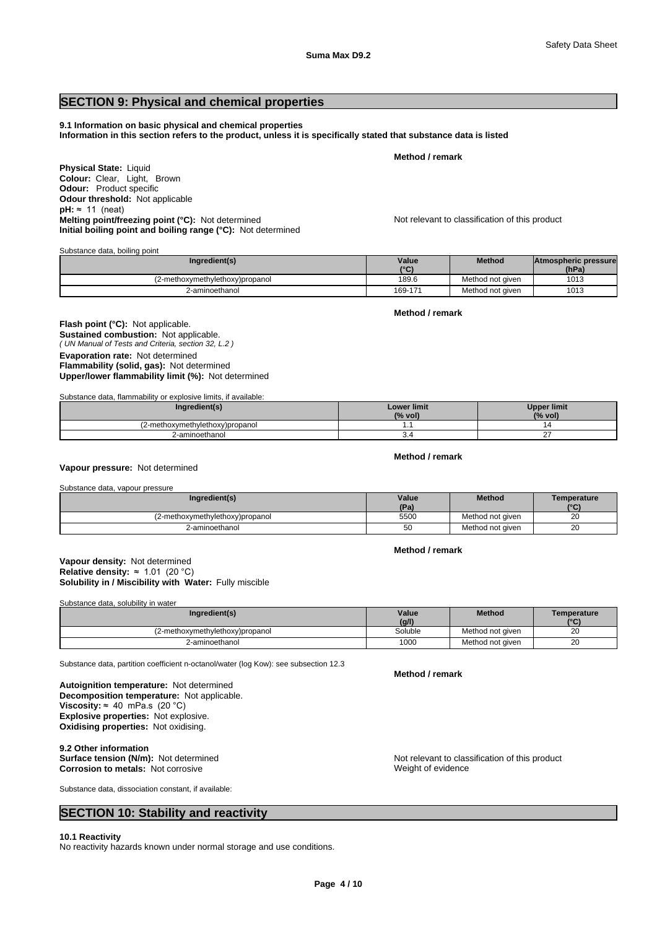### **SECTION 9: Physical and chemical properties**

#### **9.1 Information on basic physical and chemical properties**

**Information in this section refers to the product, unless it is specifically stated that substance data is listed**

**Method / remark**

**Physical State:** Liquid **Colour:** Clear, Light, Brown **Odour:** Product specific **Odour threshold:** Not applicable **pH:** ≈ 11 (neat) **Melting point/freezing point (°C):** Not determined Not relevant to classification of this product **Initial boiling point and boiling range (°C):** Not determined

Substance data, boiling point

| Ingredient(s)                   | Value                   | Method           | Atmospheric pressure |  |
|---------------------------------|-------------------------|------------------|----------------------|--|
|                                 | $10^{\circ}$<br>$\cdot$ |                  | (hPa)                |  |
| i2-methoxymethylethoxy)propanol | 189.6                   | Method not given | 1013                 |  |
| 2-aminoethanol                  | 169-171                 | Method not given | 1013                 |  |

*( UN Manual of Tests and Criteria, section 32, L.2 )* **Flash point (°C):** Not applicable. **Sustained combustion:** Not applicable. **Evaporation rate:** Not determined **Flammability (solid, gas):** Not determined **Upper/lower flammability limit (%):** Not determined

Substance data, flammability or explosive limits, if available:

| ıredient(s)                     | <b>Lower limit</b><br>(% vol) | <b>Upper limit</b><br>(% vol) |
|---------------------------------|-------------------------------|-------------------------------|
| (2-methoxymethylethoxy)propanol |                               |                               |
| 2-aminoethanol                  | ◡-                            |                               |

#### **Vapour pressure:** Not determined

| Substance data, vapour pressure |       |                  |              |
|---------------------------------|-------|------------------|--------------|
| Ingredient(s)                   | Value | <b>Method</b>    | Temperature  |
|                                 | (Pa)  |                  | $\mathbf{C}$ |
| (2-methoxymethylethoxy)propanol | 5500  | Method not given | 20           |
| 2-aminoethanol                  | 50    | Method not given | 20           |

#### **Solubility in / Miscibility with Water:** Fully miscible **Vapour density:** Not determined **Relative density:** ≈1.01(20°C)

Substance data, solubility in water

| Ingredient(s)                   | Value   | <b>Method</b>    | Temperature  |
|---------------------------------|---------|------------------|--------------|
|                                 | (q/1)   |                  | $10^{\circ}$ |
| (2-methoxymethylethoxy)propanol | Soluble | Method not given | 20           |
| 2-aminoethanol                  | 1000    | Method not given | 20           |

Substance data, partition coefficient n-octanol/water (log Kow): see subsection 12.3

**Decomposition temperature:** Not applicable. **Autoignition temperature:** Not determined **Viscosity:**  $\approx$  40 mPa.s (20 °C) **Explosive properties:** Not explosive. **Oxidising properties:** Not oxidising.

9.2 Other information<br>Surface tension (N/m): Not determined **Corrosion to metals: Not corrosive** 

Substance data, dissociation constant, if available:

### **SECTION 10: Stability and reactivity**

#### **10.1 Reactivity**

No reactivity hazards known under normal storage and use conditions.

**Method / remark**

Not relevant to classification of this product<br>Weight of evidence

**Method / remark**

**Method / remark**

# **Method / remark**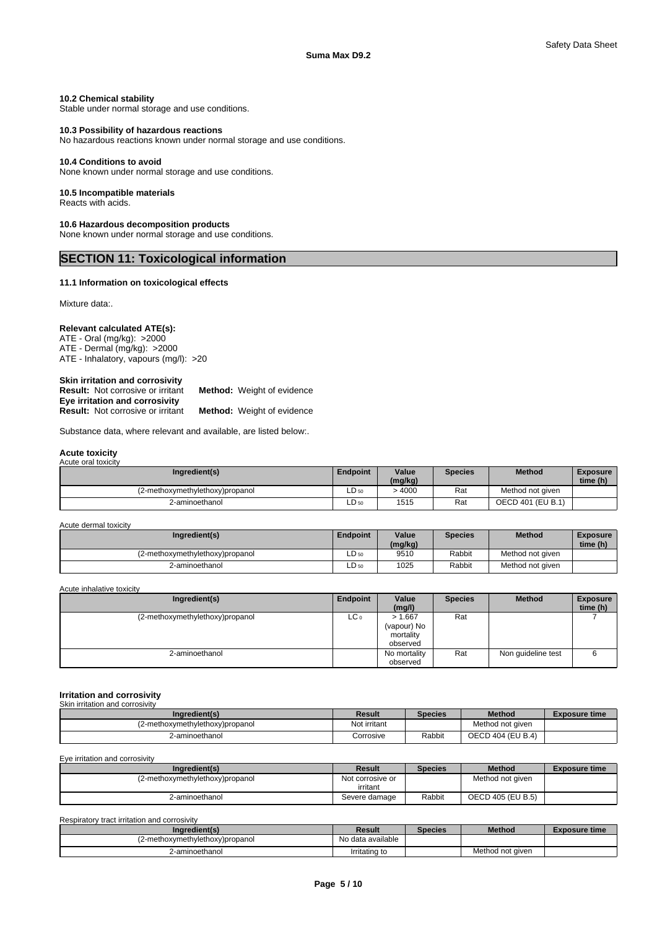#### **10.2 Chemical stability**

Stable under normal storage and use conditions.

#### **10.3 Possibility of hazardous reactions**

No hazardous reactions known under normal storage and use conditions.

#### **10.4 Conditions to avoid**

None known under normal storage and use conditions.

#### **10.5 Incompatible materials**

Reacts with acids.

#### **10.6 Hazardous decomposition products**

None known under normal storage and use conditions.

### **SECTION 11: Toxicological information**

### **11.1 Information on toxicological effects**

Mixture data:.

#### **Relevant calculated ATE(s):**

ATE - Oral (mg/kg): >2000 ATE - Dermal (mg/kg): >2000 ATE - Inhalatory, vapours (mg/l): >20

| Skin irritation and corrosivity          |                                   |
|------------------------------------------|-----------------------------------|
| <b>Result:</b> Not corrosive or irritant | <b>Method:</b> Weight of evidence |
| Eye irritation and corrosivity           |                                   |
| <b>Result:</b> Not corrosive or irritant | <b>Method:</b> Weight of evidence |

Substance data, where relevant and available, are listed below:.

#### **Acute toxicity** Acute oral toxicity

| Ingredient(s)                   | <b>Endpoint</b> | Value<br>(mg/kg) | <b>Species</b> | <b>Method</b>     | <b>Exposure</b><br>time (h) |
|---------------------------------|-----------------|------------------|----------------|-------------------|-----------------------------|
| (2-methoxymethylethoxy)propanol | LD 50           | .4000            | Rat            | Method not given  |                             |
| 2-aminoethanol                  | $LD_{50}$       | 1515             | Rat            | OECD 401 (EU B.1) |                             |

Acute dermal toxicity

| Ingredient(s)                   | <b>Endpoint</b> | Value<br>(mg/kg) | <b>Species</b> | <b>Method</b>    | <b>Exposure</b><br>time (h) |
|---------------------------------|-----------------|------------------|----------------|------------------|-----------------------------|
| L2-methoxymethylethoxy)propanol | $LD_{50}$       | 9510             | Rabbit         | Method not given |                             |
| 2-aminoethanol                  | $LD_{50}$       | 1025             | Rabbit         | Method not given |                             |

Acute inhalative toxicity

| Ingredient(s)                   | Endpoint        | Value                                           | <b>Species</b> | <b>Method</b>      | <b>Exposure</b> |  |
|---------------------------------|-----------------|-------------------------------------------------|----------------|--------------------|-----------------|--|
|                                 |                 | (mg/l)                                          |                |                    | time (h)        |  |
| (2-methoxymethylethoxy)propanol | LC <sub>o</sub> | > 1.667<br>(vapour) No<br>mortality<br>observed | Rat            |                    |                 |  |
| 2-aminoethanol                  |                 | No mortality<br>observed                        | Rat            | Non quideline test | o               |  |

#### **Irritation and corrosivity** Skin irritation and corrosivity

| <u>UNILI ILINGNULL GINI UULLUSIVIN</u> |               |                |                   |                      |  |  |
|----------------------------------------|---------------|----------------|-------------------|----------------------|--|--|
| Ingredient(s)                          | <b>Result</b> | <b>Species</b> | <b>Method</b>     | <b>Exposure time</b> |  |  |
| (2-methoxymethylethoxy)propanol        | Not irritant  |                | Method not given  |                      |  |  |
| 2-aminoethanol                         | Corrosive     | Rabbit         | OECD 404 (EU B.4) |                      |  |  |

Eye irritation and corrosivity

| Result           | <b>Species</b> | <b>Method</b>     | <b>Exposure time</b> |
|------------------|----------------|-------------------|----------------------|
| Not corrosive or |                | Method not given  |                      |
| irritant         |                |                   |                      |
| Severe damage    | Rabbit         | OECD 405 (EU B.5) |                      |
|                  |                |                   |                      |

Respiratory tract irritation and corrosivity

| Ingredient(s)                   | Result            | Species | <b>Method</b>    | Exposure time |
|---------------------------------|-------------------|---------|------------------|---------------|
| (2-methoxymethylethoxy)propanol | No data available |         |                  |               |
| 2-aminoethanol                  | Irritating to     |         | Method not aiven |               |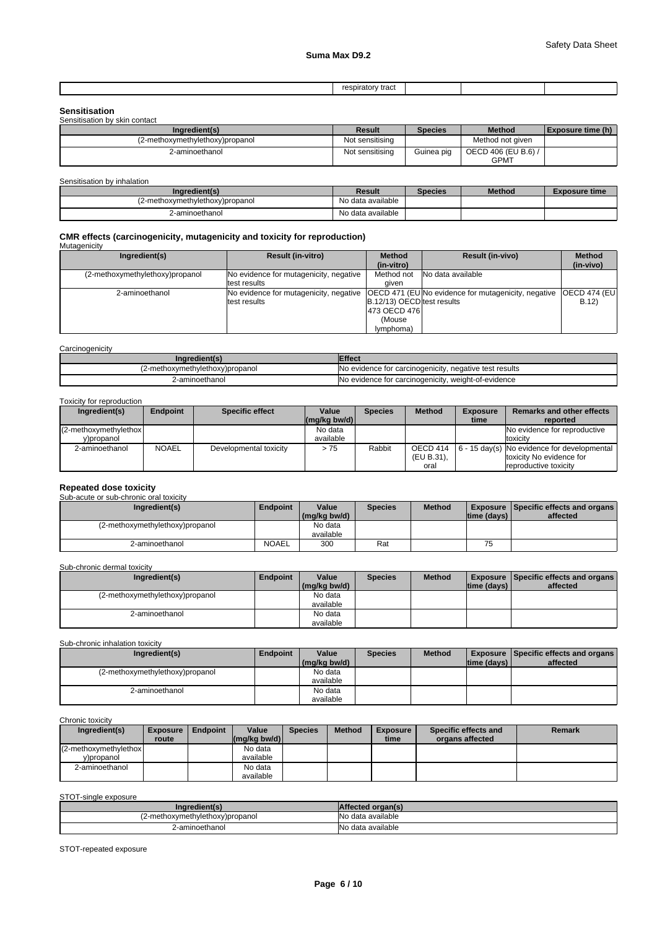| respiratory<br>, + .<br>τι αν<br>.<br>__<br>. |  |  |  |
|-----------------------------------------------|--|--|--|
|-----------------------------------------------|--|--|--|

| <b>Sensitisation</b>            |                 |                |                                    |                   |
|---------------------------------|-----------------|----------------|------------------------------------|-------------------|
| Sensitisation by skin contact   |                 |                |                                    |                   |
| Ingredient(s)                   | Result          | <b>Species</b> | <b>Method</b>                      | Exposure time (h) |
| (2-methoxymethylethoxy)propanol | Not sensitising |                | Method not aiven                   |                   |
| 2-aminoethanol                  | Not sensitising | Guinea pig     | OECD 406 (EU B.6) /<br><b>GPMT</b> |                   |

Sensitisation by inhalation

| Ingredient(s)                   | Result            | Species | <b>Method</b> | Exposure time |
|---------------------------------|-------------------|---------|---------------|---------------|
| (2-methoxymethylethoxy)propanol | No data available |         |               |               |
| 2-aminoethanol                  | No data available |         |               |               |

## **CMR effects (carcinogenicity, mutagenicity and toxicity for reproduction)** Mutagenicity

| mulayoniuly                     |                                        |                                    |                                                            |                      |
|---------------------------------|----------------------------------------|------------------------------------|------------------------------------------------------------|----------------------|
| Ingredient(s)                   | <b>Result (in-vitro)</b>               | <b>Method</b>                      | <b>Result (in-vivo)</b>                                    | <b>Method</b>        |
|                                 |                                        | (in-vitro)                         |                                                            | (in-vivo)            |
| (2-methoxymethylethoxy)propanol | No evidence for mutagenicity, negative | Method not                         | No data available                                          |                      |
|                                 | test results                           | aiven                              |                                                            |                      |
| 2-aminoethanol                  | No evidence for mutagenicity, negative |                                    | <b>OECD 471 (EU No evidence for mutagenicity, negative</b> | <b>OECD 474 (EU)</b> |
|                                 | test results                           | <b>IB.12/13) OECDItest results</b> |                                                            | B.12                 |
|                                 |                                        | 1473 OECD 4761                     |                                                            |                      |
|                                 |                                        | (Mouse                             |                                                            |                      |
|                                 |                                        | ( <i>lymphoma</i>                  |                                                            |                      |

#### **Carcinogenicity**

| Ingredient(s)                   | Effect                                                 |
|---------------------------------|--------------------------------------------------------|
| ι∠-methoxymethylethoxy)propanol | No evidence for carcinogenicity, negative test results |
| 2-aminoethanol                  | No evidence for carcinogenicity, weight-of-evidence    |

#### Toxicity for reproduction

| Ingredient(s)          | <b>Endpoint</b> | <b>Specific effect</b> | Value         | <b>Species</b> | <b>Method</b> | <b>Exposure</b> | <b>Remarks and other effects</b>                                   |
|------------------------|-----------------|------------------------|---------------|----------------|---------------|-----------------|--------------------------------------------------------------------|
|                        |                 |                        | l(ma/ka bw/d) |                |               | time            | reported                                                           |
| (2-methoxymethylethox) |                 |                        | No data       |                |               |                 | No evidence for reproductive                                       |
| v)propanol             |                 |                        | available     |                |               |                 | toxicity                                                           |
| 2-aminoethanol         | <b>NOAEL</b>    | Developmental toxicity | > 75          | Rabbit         |               |                 | OECD 414   $6 - 15 \text{ day(s)}$   No evidence for developmental |
|                        |                 |                        |               |                | (EU B.31).    |                 | toxicity No evidence for                                           |
|                        |                 |                        |               |                | oral          |                 | reproductive toxicity                                              |

## **Repeated dose toxicity** Sub-acute or sub-chronic oral toxicity

| <u>UUD-ACULE OF SUD-CHIUHIC UITAI LUAICILY</u> |                 |              |         |               |             |                                             |
|------------------------------------------------|-----------------|--------------|---------|---------------|-------------|---------------------------------------------|
| Ingredient(s)                                  | <b>Endpoint</b> | Value        | Species | <b>Method</b> |             | <b>Exposure Specific effects and organs</b> |
|                                                |                 | (mg/kg bw/d) |         |               | time (days) | affected                                    |
| (2-methoxymethylethoxy)propanol                |                 | No data      |         |               |             |                                             |
|                                                |                 | available    |         |               |             |                                             |
| 2-aminoethanol                                 | <b>NOAEL</b>    | 300          | Rat     |               | --<br>ر.    |                                             |

#### Sub-chronic dermal toxicity

| Ingredient(s)                   | Endpoint | Value        | <b>Species</b> | <b>Method</b> |                | <b>Exposure Specific effects and organs</b> |  |
|---------------------------------|----------|--------------|----------------|---------------|----------------|---------------------------------------------|--|
|                                 |          | (mg/kg bw/d) |                |               | Itime (davs) I | affected                                    |  |
| (2-methoxymethylethoxy)propanol |          | No data      |                |               |                |                                             |  |
|                                 |          | available    |                |               |                |                                             |  |
| 2-aminoethanol                  |          | No data      |                |               |                |                                             |  |
|                                 |          | available    |                |               |                |                                             |  |

#### Sub-chronic inhalation toxicity

| Ingredient(s)                   | Endpoint | Value        | <b>Species</b> | <b>Method</b> |              | <b>Exposure Specific effects and organs</b> |  |
|---------------------------------|----------|--------------|----------------|---------------|--------------|---------------------------------------------|--|
|                                 |          | (mg/kg bw/d) |                |               | Itime (davs) | affected                                    |  |
| (2-methoxymethylethoxy)propanol |          | No data      |                |               |              |                                             |  |
|                                 |          | available    |                |               |              |                                             |  |
| 2-aminoethanol                  |          | No data      |                |               |              |                                             |  |
|                                 |          | available    |                |               |              |                                             |  |

#### Chronic toxicity

| Ingredient(s)          | <b>Exposure</b> | Endpoint | Value                                                    | <b>Species</b> | <b>Method</b> | <b>Exposure</b> | Specific effects and | Remark |
|------------------------|-----------------|----------|----------------------------------------------------------|----------------|---------------|-----------------|----------------------|--------|
|                        | route           |          | $\left \frac{\text{mag}}{\text{kg}}\right $ (mg/kg bw/d) |                |               | time            | organs affected      |        |
| (2-methoxymethylethox) |                 |          | No data                                                  |                |               |                 |                      |        |
| y)propanol             |                 |          | available                                                |                |               |                 |                      |        |
| 2-aminoethanol         |                 |          | No data                                                  |                |               |                 |                      |        |
|                        |                 |          | available                                                |                |               |                 |                      |        |

### STOT-single exposure

| ימו                                  |                       |
|--------------------------------------|-----------------------|
| .2-methoxymethylethoxy)propanol<br>. | INc<br>data available |
| ?-aminoethanol                       | INo<br>data available |

STOT-repeated exposure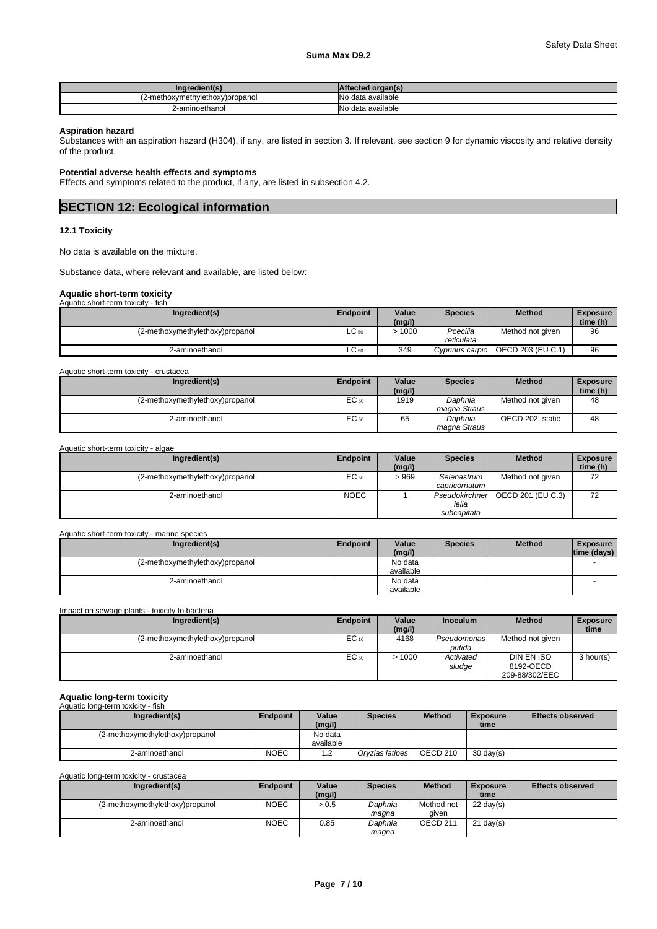| Ingredient(s)                  | l organ(s)<br>ffected |
|--------------------------------|-----------------------|
| 2-methoxymethylethoxy)propanol | No data available     |
| ?-aminoethanol                 | No data available     |

#### **Aspiration hazard**

Substances with an aspiration hazard (H304), if any, are listed in section 3. If relevant, see section 9 for dynamic viscosity and relative density of the product.

#### **Potential adverse health effects and symptoms**

Effects and symptoms related to the product, if any, are listed in subsection 4.2.

### **SECTION 12: Ecological information**

#### **12.1 Toxicity**

No data is available on the mixture.

Substance data, where relevant and available, are listed below:

## **Aquatic short-term toxicity** Aquatic short-term toxicity - fish

| $\overline{ }$ , watu wasan shi kuni kuni wakati wa<br> |                 |        |                 |                   |                 |
|---------------------------------------------------------|-----------------|--------|-----------------|-------------------|-----------------|
| Ingredient(s)                                           | <b>Endpoint</b> | Value  | <b>Species</b>  | <b>Method</b>     | <b>Exposure</b> |
|                                                         |                 | (mg/l) |                 |                   | time (h)        |
| (2-methoxymethylethoxy)propanol                         | $LC_{50}$       | .1000  | Poecilia        | Method not given  | 96              |
|                                                         |                 |        | reticulata      |                   |                 |
| 2-aminoethanol                                          | $LC_{50}$       | 349    | Cyprinus carpio | OECD 203 (EU C.1) | 96              |

| Aquatic short-term toxicity - crustacea |                 |                 |                           |                  |                             |
|-----------------------------------------|-----------------|-----------------|---------------------------|------------------|-----------------------------|
| Ingredient(s)                           | <b>Endpoint</b> | Value<br>(mg/l) | <b>Species</b>            | <b>Method</b>    | <b>Exposure</b><br>time (h) |
| (2-methoxymethylethoxy)propanol         | EC 50           | 1919            | Daphnia<br>magna Straus I | Method not given | 48                          |
| 2-aminoethanol                          | EC 50           | 65              | Daphnia<br>magna Straus   | OECD 202, static | 48                          |

| Aquatic short-term toxicity - algae |             |                 |                                        |                   |                             |
|-------------------------------------|-------------|-----------------|----------------------------------------|-------------------|-----------------------------|
| Ingredient(s)                       | Endpoint    | Value<br>(mg/l) | <b>Species</b>                         | <b>Method</b>     | <b>Exposure</b><br>time (h) |
| (2-methoxymethylethoxy)propanol     | EC 50       | >969            | Selenastrum<br>capricornutum           | Method not given  | 72                          |
| 2-aminoethanol                      | <b>NOEC</b> |                 | Pseudokirchner<br>iella<br>subcapitata | OECD 201 (EU C.3) | 72                          |

| Aquatic short-term toxicity - marine species |
|----------------------------------------------|
|----------------------------------------------|

| Ingredient(s)                   | <b>Endpoint</b> | Value<br>(mg/l)      | <b>Species</b> | <b>Method</b> | <b>Exposure</b><br>time (days) |
|---------------------------------|-----------------|----------------------|----------------|---------------|--------------------------------|
| (2-methoxymethylethoxy)propanol |                 | No data<br>available |                |               |                                |
| 2-aminoethanol                  |                 | No data<br>available |                |               |                                |

#### Impact on sewage plants - toxicity to bacteria

| Ingredient(s)                   | Endpoint  | Value<br>(mg/l) | <b>Inoculum</b>       | <b>Method</b>                                    | <b>Exposure</b><br>time |
|---------------------------------|-----------|-----------------|-----------------------|--------------------------------------------------|-------------------------|
| (2-methoxymethylethoxy)propanol | $EC_{10}$ | 4168            | Pseudomonas<br>putida | Method not given                                 |                         |
| 2-aminoethanol                  | EC 50     | >1000           | Activated<br>sludge   | <b>DIN EN ISO</b><br>8192-OECD<br>209-88/302/EEC | 3 hour(s)               |

#### **Aquatic long-term toxicity** name ren<br>atic long-t

| Auualle juliu-leitti luxicity<br>וופוו ־י |             |                        |                 |                     |                         |                         |
|-------------------------------------------|-------------|------------------------|-----------------|---------------------|-------------------------|-------------------------|
| Ingredient(s)                             | Endpoint    | Value<br>(mg/l)        | <b>Species</b>  | <b>Method</b>       | <b>Exposure</b><br>time | <b>Effects observed</b> |
| (2-methoxymethylethoxy)propanol           |             | No data                |                 |                     |                         |                         |
|                                           |             | available              |                 |                     |                         |                         |
| 2-aminoethanol                            | <b>NOEC</b> | $\sim$<br>. . <u>.</u> | Orvzias latipes | OECD <sub>210</sub> | $30 \text{ day}(s)$     |                         |

Aquatic long-term toxicity - crustacea

| Ingredient(s)                   | Endpoint    | Value<br>(mg/l) | <b>Species</b>   | <b>Method</b>       | <b>Exposure</b><br>time | <b>Effects observed</b> |
|---------------------------------|-------------|-----------------|------------------|---------------------|-------------------------|-------------------------|
| (2-methoxymethylethoxy)propanol | <b>NOEC</b> | > 0.5           | Daphnia<br>maana | Method not<br>aiven | $22 \text{ day}(s)$     |                         |
| 2-aminoethanol                  | <b>NOEC</b> | 0.85            | Daphnia<br>maqna | OECD <sub>211</sub> | $21 \text{ day}(s)$     |                         |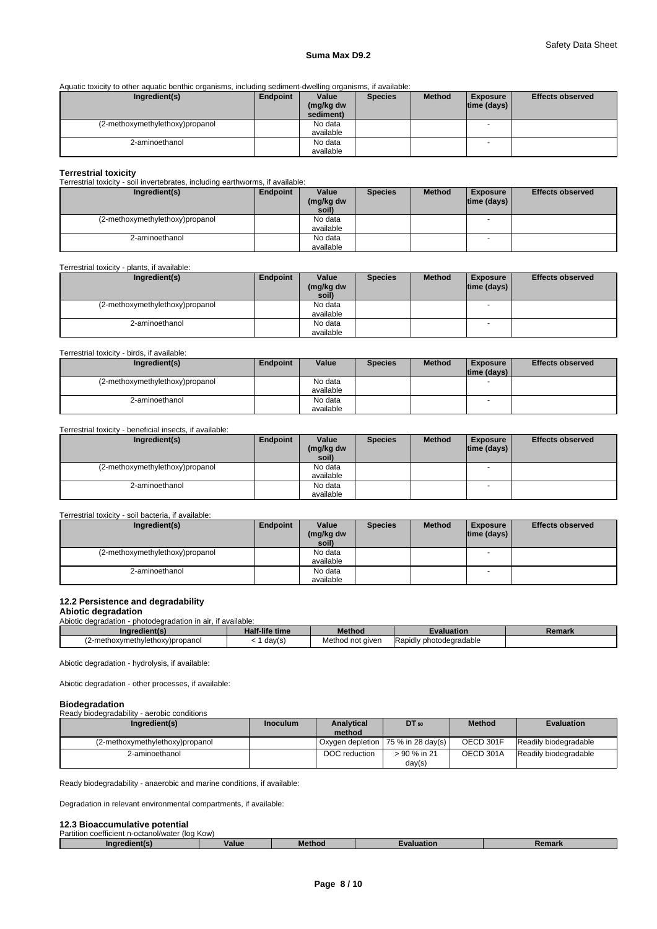#### **Suma Max D9.2**

Aquatic toxicity to other aquatic benthic organisms, including sediment-dwelling organisms, if available:

| Ingredient(s)                   | Endpoint | Value                  | <b>Species</b> | <b>Method</b> | <b>Exposure</b> | <b>Effects observed</b> |
|---------------------------------|----------|------------------------|----------------|---------------|-----------------|-------------------------|
|                                 |          | (mg/kg dw<br>sediment) |                |               | time (days)     |                         |
|                                 |          |                        |                |               |                 |                         |
| (2-methoxymethylethoxy)propanol |          | No data                |                |               |                 |                         |
|                                 |          | available              |                |               |                 |                         |
| 2-aminoethanol                  |          | No data                |                |               |                 |                         |
|                                 |          | available              |                |               |                 |                         |

#### **Terrestrial toxicity**

Terrestrial toxicity - soil invertebrates, including earthworms, if available:

| Ingredient(s)                   | Endpoint | Value     | <b>Species</b> | <b>Method</b> | <b>Exposure</b> | <b>Effects observed</b> |
|---------------------------------|----------|-----------|----------------|---------------|-----------------|-------------------------|
|                                 |          | (mg/kg dw |                |               | time (days)     |                         |
|                                 |          | soil)     |                |               |                 |                         |
| (2-methoxymethylethoxy)propanol |          | No data   |                |               |                 |                         |
|                                 |          | available |                |               |                 |                         |
| 2-aminoethanol                  |          | No data   |                |               |                 |                         |
|                                 |          | available |                |               |                 |                         |

Terrestrial toxicity - plants, if available:

| Ingredient(s)                   | Endpoint | Value              | <b>Species</b> | <b>Method</b> | <b>Exposure</b> | <b>Effects observed</b> |
|---------------------------------|----------|--------------------|----------------|---------------|-----------------|-------------------------|
|                                 |          | (mg/kg dw<br>soil) |                |               | time (days)     |                         |
| (2-methoxymethylethoxy)propanol |          | No data            |                |               |                 |                         |
|                                 |          | available          |                |               |                 |                         |
| 2-aminoethanol                  |          | No data            |                |               |                 |                         |
|                                 |          | available          |                |               |                 |                         |

#### Terrestrial toxicity - birds, if available:

| Ingredient(s)                   | Endpoint | Value     | <b>Species</b> | <b>Method</b> | <b>Exposure</b> | <b>Effects observed</b> |
|---------------------------------|----------|-----------|----------------|---------------|-----------------|-------------------------|
|                                 |          |           |                |               | time (days)     |                         |
| (2-methoxymethylethoxy)propanol |          | No data   |                |               |                 |                         |
|                                 |          | available |                |               |                 |                         |
| 2-aminoethanol                  |          | No data   |                |               | <b>1</b>        |                         |
|                                 |          | available |                |               |                 |                         |

#### Terrestrial toxicity - beneficial insects, if available:

| Ingredient(s)                   | Endpoint | Value<br>(mg/kg dw<br>soil) | <b>Species</b> | <b>Method</b> | <b>Exposure</b><br>$ time$ (days) $ $ | <b>Effects observed</b> |
|---------------------------------|----------|-----------------------------|----------------|---------------|---------------------------------------|-------------------------|
| (2-methoxymethylethoxy)propanol |          | No data<br>available        |                |               | $\overline{\phantom{a}}$              |                         |
| 2-aminoethanol                  |          | No data<br>available        |                |               | $\overline{\phantom{a}}$              |                         |

#### Terrestrial toxicity - soil bacteria, if available:

| Ingredient(s)                   | Endpoint | Value     | <b>Species</b> | <b>Method</b> | <b>Exposure</b>    | <b>Effects observed</b> |
|---------------------------------|----------|-----------|----------------|---------------|--------------------|-------------------------|
|                                 |          | (mg/kg dw |                |               | $ time$ (days) $ $ |                         |
|                                 |          | soil)     |                |               |                    |                         |
| (2-methoxymethylethoxy)propanol |          | No data   |                |               |                    |                         |
|                                 |          | available |                |               |                    |                         |
| 2-aminoethanol                  |          | No data   |                |               | -                  |                         |
|                                 |          | available |                |               |                    |                         |

#### **12.2 Persistence and degradability**

### **Abiotic degradation**

Abiotic degradation - photodegradation in air, if available:

| Ingredient                                     | $-110$<br><b>Half-life time</b> | Methoc                 | Evaluation                          | nnori<br>. .<br><b>REI</b> Iana |
|------------------------------------------------|---------------------------------|------------------------|-------------------------------------|---------------------------------|
| .าvlethox∘<br>y)propanol<br>.10xvmeth<br>-meth | day(s                           | Method<br>aiver<br>not | <b>Rapidly</b><br>: photodegradable |                                 |
|                                                |                                 |                        |                                     |                                 |

Abiotic degradation - hydrolysis, if available:

Abiotic degradation - other processes, if available:

#### **Biodegradation**

Ready biodegradability - aerobic conditions

| Ingredient(s)                   | <b>Inoculum</b> | <b>Analytical</b> | <b>DT</b> 50                                 | <b>Method</b> | <b>Evaluation</b>     |
|---------------------------------|-----------------|-------------------|----------------------------------------------|---------------|-----------------------|
|                                 |                 | method            |                                              |               |                       |
| (2-methoxymethylethoxy)propanol |                 |                   | Oxygen depletion   75 % in 28 day(s) $\vert$ | OECD 301F     | Readily biodegradable |
| 2-aminoethanol                  |                 | DOC reduction     | > 90 % in 21                                 | OECD 301A     | Readily biodegradable |
|                                 |                 |                   | day(s)                                       |               |                       |

Ready biodegradability - anaerobic and marine conditions, if available:

Degradation in relevant environmental compartments, if available:

## **12.3 Bioaccumulative potential**<br>Partition coefficient n-octanol/water (log Kow)

| ганны<br>wemarin<br>וסיאומו ונחו ונאגעי<br>. TIUU INUW |       |  |  |
|--------------------------------------------------------|-------|--|--|
| ına                                                    | value |  |  |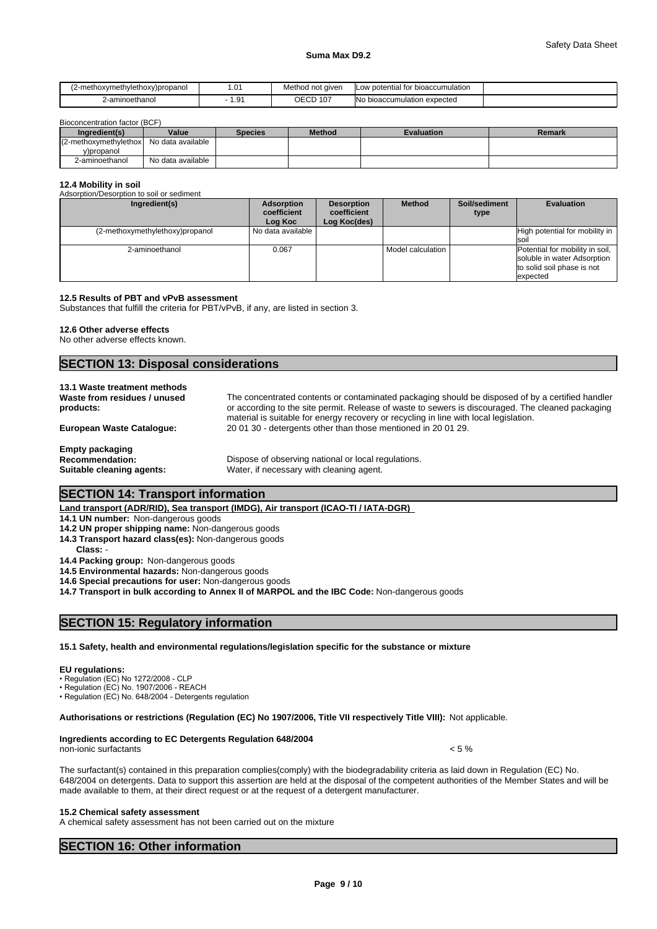#### **Suma Max D9.2**

| (2-methoxymethylethoxy)propanol | . .  | Method not given                           | ootential for bioaccumulation?<br>∟OW       |  |
|---------------------------------|------|--------------------------------------------|---------------------------------------------|--|
| 2-aminoethanol                  | 1.91 | $\sim$ n $\sim$<br>10 <sub>1</sub><br>し∟しレ | <b>INo</b><br>n expected<br>bioaccumulation |  |

Bioconcentration factor (BCF)

| Ingredient(s)            | Value             | Species | <b>Method</b> | Evaluation | Remark |
|--------------------------|-------------------|---------|---------------|------------|--------|
| $(2$ -methoxymethylethox | No data available |         |               |            |        |
| v)propanol               |                   |         |               |            |        |
| 2-aminoethanol           | No data available |         |               |            |        |

#### **12.4 Mobility in soil**

| Adsorption/Desorption to soil or sediment |                                      |                                                  |                     |                       |                                                                                                          |
|-------------------------------------------|--------------------------------------|--------------------------------------------------|---------------------|-----------------------|----------------------------------------------------------------------------------------------------------|
| Ingredient(s)                             | Adsorption<br>coefficient<br>Log Koc | <b>Desorption</b><br>coefficient<br>Log Koc(des) | <b>Method</b>       | Soil/sediment<br>type | <b>Evaluation</b>                                                                                        |
| (2-methoxymethylethoxy)propanol           | No data available                    |                                                  |                     |                       | High potential for mobility in<br><b>SO</b>                                                              |
| 2-aminoethanol                            | 0.067                                |                                                  | Model calculation I |                       | Potential for mobility in soil,<br>soluble in water Adsorption<br>to solid soil phase is not<br>expected |

#### **12.5 Results of PBT and vPvB assessment**

Substances that fulfill the criteria for PBT/vPvB, if any, are listed in section 3.

#### **12.6 Other adverse effects**

No other adverse effects known.

### **SECTION 13: Disposal considerations**

| 13.1 Waste treatment methods<br>Waste from residues / unused<br>products:     | The concentrated contents or contaminated packaging should be disposed of by a certified handler<br>or according to the site permit. Release of waste to sewers is discouraged. The cleaned packaging<br>material is suitable for energy recovery or recycling in line with local legislation. |
|-------------------------------------------------------------------------------|------------------------------------------------------------------------------------------------------------------------------------------------------------------------------------------------------------------------------------------------------------------------------------------------|
| European Waste Cataloque:                                                     | 200130 - detergents other than those mentioned in 200129.                                                                                                                                                                                                                                      |
| <b>Empty packaging</b><br><b>Recommendation:</b><br>Suitable cleaning agents: | Dispose of observing national or local regulations.<br>Water, if necessary with cleaning agent.                                                                                                                                                                                                |

### **SECTION 14: Transport information**

#### **Land transport (ADR/RID), Sea transport (IMDG), Air transport (ICAO-TI / IATA-DGR)**

**14.1 UN number:** Non-dangerous goods

- **14.2 UN proper shipping name:** Non-dangerous goods
- **14.3 Transport hazard class(es):** Non-dangerous goods
- **Class:** -
- **14.4 Packing group:** Non-dangerous goods
- **14.5 Environmental hazards:** Non-dangerous goods
- **14.6 Special precautions for user:** Non-dangerous goods

**14.7 Transport in bulk according to Annex II of MARPOL and the IBC Code:** Non-dangerous goods

### **SECTION 15: Regulatory information**

#### **15.1 Safety, health and environmental regulations/legislation specific for the substance or mixture**

#### **EU regulations:**

- Regulation (EC) No 1272/2008 CLP
- •Regulation(EC)No.1907/2006-REACH
- Regulation (EC) No. 648/2004 Detergents regulation

#### **Authorisations or restrictions (Regulation (EC) No 1907/2006, Title VII respectively Title VIII):** Not applicable.

#### **Ingredients according to EC Detergents Regulation 648/2004**

non-ionic surfactants  $\sim$  5 %

The surfactant(s) contained in this preparation complies(comply) with the biodegradability criteria as laid down in Regulation (EC) No. 648/2004 on detergents. Data to support this assertion are held at the disposal of the competent authorities of the Member States and will be made available to them, at their direct request or at the request of a detergent manufacturer.

#### **15.2 Chemical safety assessment**

A chemical safety assessment has not been carried out on the mixture

### **SECTION 16: Other information**